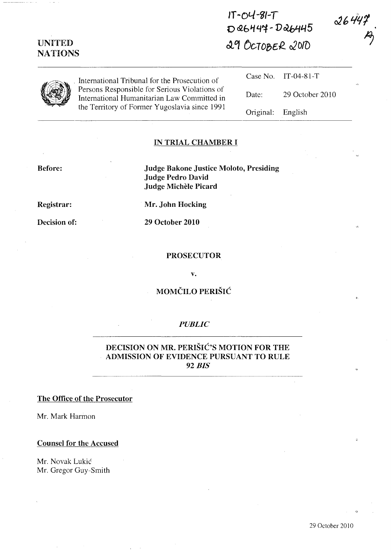| <b>UNITED</b><br><b>NATIONS</b> |                                                                                                                                               | $DQ6444 - DQ6445$<br>29 OCTOBER 2010 |                 | <b>WO 17</b> |
|---------------------------------|-----------------------------------------------------------------------------------------------------------------------------------------------|--------------------------------------|-----------------|--------------|
|                                 | International Tribunal for the Prosecution of                                                                                                 | Case No.                             | IT-04-81-T      |              |
|                                 | Persons Responsible for Serious Violations of<br>International Humanitarian Law Committed in<br>the Territory of Former Yugoslavia since 1991 | Date:                                | 29 October 2010 |              |
|                                 |                                                                                                                                               | Original:                            | English         |              |

**JT** -04 -lj/-T

 $16442$ 

## IN TRIAL CHAMBER 1

## Before:

Judge Bakone Justice Moloto, Presiding Judge Pedro David Judge Michèle Picard

Registrar:

Decision of:

Mr. John Hocking

29 October 2010

#### PROSECUTOR

v.

# MOMČILO PERIŠIĆ

## *PUBLIC*

## DECISION ON MR. PERISIé's MOTION FOR THE ADMISSION OF EVIDENCE PURSUANT TO RULE 92 *BIS*

## The Office of the Prosecutor

Mr. Mark Harmon

## Counsel for the Accused

Mr. Novak Lukié Mr. Gregor Guy-Smith

 $\circ$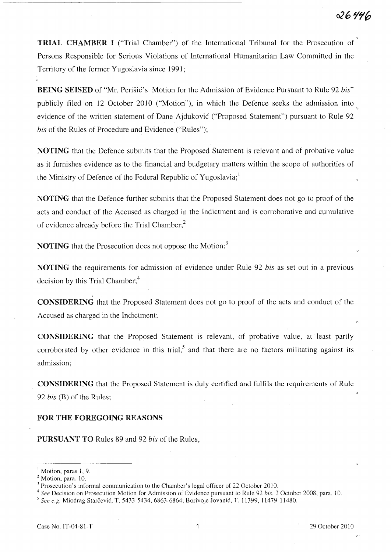TRIAL CHAMBER 1 ("Trial Chamber") of the International Tribunal for the Prosecution of Persons Responsible for Serious Violations of International Humanitarian Law Committed in the Territory of the former Yugoslavia since 1991;

**BEING SEISED** of "Mr. Perišić's Motion for the Admission of Evidence Pursuant to Rule 92 *bis*" publicly filed on 12 October 2010 ("Motion"), in which the Defence seeks the admission into evidence of the written statement of Dane Ajdukovié ("Proposed Statement") pursuant to Rule 92 bis of the Rules of Procedure and Evidence ("Rules"); '7.,

NOTING that the Defence submits that the Proposed Statement is relevant and of probative value as it furnishes evidence as to the financial and budgetary matters within the scope of authorities of the Ministry of Defence of the Federal Republic of Yugoslavia;<sup>1</sup>

NOTING that the Defence further submits that the Proposed Statement does not go to proof of the acts and conduct of the Accused as charged in the Indictment and is corroborative and cumulative of evidence already before the Trial Chamber; $<sup>2</sup>$ </sup>

**NOTING** that the Prosecution does not oppose the Motion;<sup>3</sup>

NOTING the requirements for admission of evidence under Rule 92 *bis* as set out in a previous decision by this Trial Chamber;<sup>4</sup>

**CONSIDERING** that the Proposed Statement does not go to proof of the acts and conduct of the Accused as charged in the Indictment;

CONSIDERING that the Proposed Statement is relevant, of probative value, at least partly corroborated by other evidence in this trial,<sup>5</sup> and that there are no factors militating against its admission;

CONSIDERING that the Proposed Statement is duly certified and fulfils the requirements of Rule *92 bis* (B) of the Rules;

## FOR THE FOREGOING REASONS

PURSUANT TO Rules 89 and 92 bis of the Rules,

*4 See* Decision on Prosecution Motion for Admission of Evidence pursuant to Rule 92 *his,* 2 October 2008, para. 10.

s *See* q:. Miodrag Starcevié, T. 5433-5434, 6863-6864; Borivoje Jovanié, T. 11399, 11479-11480.

Motion, paras 1, 9.

<sup>&</sup>lt;sup>2</sup> Motion, para. 10.

<sup>&</sup>lt;sup>3</sup> Prosecution's informal communication to the Chamber's legal officer of 22 October 2010.